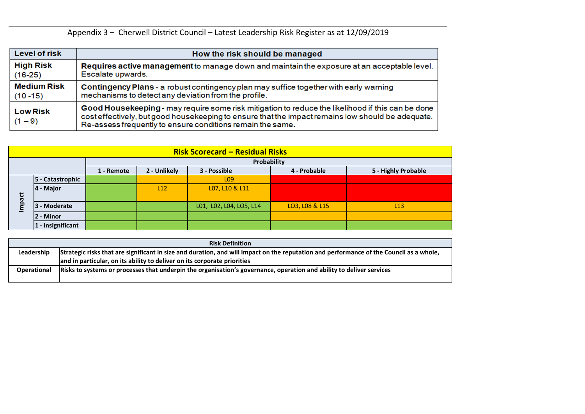|                    | <b>Risk Definition</b>                                                                                                                  |
|--------------------|-----------------------------------------------------------------------------------------------------------------------------------------|
| Leadership         | Strategic risks that are significant in size and duration, and will impact on the reputation and performance of the Council as a whole, |
|                    | and in particular, on its ability to deliver on its corporate priorities                                                                |
| <b>Operational</b> | Risks to systems or processes that underpin the organisation's governance, operation and ability to deliver services                    |
|                    |                                                                                                                                         |



Appendix 3 – Cherwell District Council – Latest Leadership Risk Register as at 12/09/2019

| <b>Level of risk</b>         | How the risk should be managed                                                                                                                                                                                                                                       |
|------------------------------|----------------------------------------------------------------------------------------------------------------------------------------------------------------------------------------------------------------------------------------------------------------------|
| <b>High Risk</b>             | Requires active management to manage down and maintain the exposure at an acceptable level.                                                                                                                                                                          |
| $(16-25)$                    | Escalate upwards.                                                                                                                                                                                                                                                    |
| <b>Medium Risk</b>           | Contingency Plans - a robust contingency plan may suffice together with early warning                                                                                                                                                                                |
| $(10 - 15)$                  | mechanisms to detect any deviation from the profile.                                                                                                                                                                                                                 |
| <b>Low Risk</b><br>$(1 - 9)$ | Good Housekeeping - may require some risk mitigation to reduce the likelihood if this can be done<br>cost effectively, but good housekeeping to ensure that the impact remains low should be adequate.<br>Re-assess frequently to ensure conditions remain the same. |

|        | <b>Risk Scorecard – Residual Risks</b> |              |            |              |                                                                                                                      |                |                                                                                                                                         |  |  |  |  |  |  |  |  |
|--------|----------------------------------------|--------------|------------|--------------|----------------------------------------------------------------------------------------------------------------------|----------------|-----------------------------------------------------------------------------------------------------------------------------------------|--|--|--|--|--|--|--|--|
|        |                                        |              |            |              | Probability                                                                                                          |                |                                                                                                                                         |  |  |  |  |  |  |  |  |
|        |                                        |              | 1 - Remote | 2 - Unlikely | 3 - Possible                                                                                                         | 4 - Probable   | 5 - Highly Probable                                                                                                                     |  |  |  |  |  |  |  |  |
|        | 5 - Catastrophic                       |              |            |              | L <sub>09</sub>                                                                                                      |                |                                                                                                                                         |  |  |  |  |  |  |  |  |
|        | 4 - Major                              |              |            | L12          | L07, L10 & L11                                                                                                       |                |                                                                                                                                         |  |  |  |  |  |  |  |  |
| Impact |                                        | 3 - Moderate |            |              | L01, L02, L04, LO5, L14                                                                                              | LO3, LO8 & L15 | L13                                                                                                                                     |  |  |  |  |  |  |  |  |
|        | l2 - Minor                             |              |            |              |                                                                                                                      |                |                                                                                                                                         |  |  |  |  |  |  |  |  |
|        | $ 1 -$ Insignificant                   |              |            |              |                                                                                                                      |                |                                                                                                                                         |  |  |  |  |  |  |  |  |
|        |                                        |              |            |              |                                                                                                                      |                |                                                                                                                                         |  |  |  |  |  |  |  |  |
|        |                                        |              |            |              | <b>Risk Definition</b>                                                                                               |                |                                                                                                                                         |  |  |  |  |  |  |  |  |
|        | Leadership                             |              |            |              |                                                                                                                      |                | Strategic risks that are significant in size and duration, and will impact on the reputation and performance of the Council as a whole, |  |  |  |  |  |  |  |  |
|        |                                        |              |            |              | and in particular, on its ability to deliver on its corporate priorities                                             |                |                                                                                                                                         |  |  |  |  |  |  |  |  |
|        | <b>Operational</b>                     |              |            |              | Risks to systems or processes that underpin the organisation's governance, operation and ability to deliver services |                |                                                                                                                                         |  |  |  |  |  |  |  |  |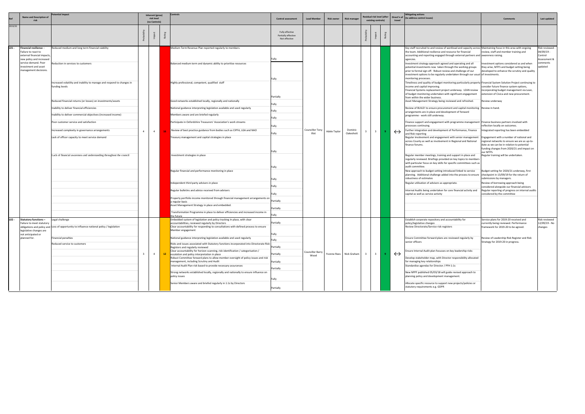|         | <b>Name and Description of</b>                                                                                                                                                    | tential impact                                                                                                                                                                                                                                                                                                                                                                                                                                                                                                                                                                         |                | Inherent (gross)<br>risk level<br>(no Controls) |                 | Controls<br><b>Control assessment</b>                                                                                                                                                                                                                                                                                                                                                                                                                                                                                                                                                                                                                                                                                                                                                                                                                                                          |                                                                                                       | <b>Lead Member</b>              | <b>Risk owner</b> | <b>Risk manager</b>     |                         | <b>Residual risk level (after</b><br>existing controls) |    | travel            | <b>Mitigating actions</b><br>Direct'n of (to address control issues)                                                                                                                                                                                                                                                                                                                                                                                                                                                                                                                                                                                                                                                                                                                                                                                                                                                                                                                                                                                                                                                                                                                                                                                                                                                                                                                                                                                                                                                                                                                                                                                                                                                                             | Comment:                                                                                                                                                                                                                                                                                                                                                                                                                                                                                                                                                                                                                                                        | Last updated                                                                    |
|---------|-----------------------------------------------------------------------------------------------------------------------------------------------------------------------------------|----------------------------------------------------------------------------------------------------------------------------------------------------------------------------------------------------------------------------------------------------------------------------------------------------------------------------------------------------------------------------------------------------------------------------------------------------------------------------------------------------------------------------------------------------------------------------------------|----------------|-------------------------------------------------|-----------------|------------------------------------------------------------------------------------------------------------------------------------------------------------------------------------------------------------------------------------------------------------------------------------------------------------------------------------------------------------------------------------------------------------------------------------------------------------------------------------------------------------------------------------------------------------------------------------------------------------------------------------------------------------------------------------------------------------------------------------------------------------------------------------------------------------------------------------------------------------------------------------------------|-------------------------------------------------------------------------------------------------------|---------------------------------|-------------------|-------------------------|-------------------------|---------------------------------------------------------|----|-------------------|--------------------------------------------------------------------------------------------------------------------------------------------------------------------------------------------------------------------------------------------------------------------------------------------------------------------------------------------------------------------------------------------------------------------------------------------------------------------------------------------------------------------------------------------------------------------------------------------------------------------------------------------------------------------------------------------------------------------------------------------------------------------------------------------------------------------------------------------------------------------------------------------------------------------------------------------------------------------------------------------------------------------------------------------------------------------------------------------------------------------------------------------------------------------------------------------------------------------------------------------------------------------------------------------------------------------------------------------------------------------------------------------------------------------------------------------------------------------------------------------------------------------------------------------------------------------------------------------------------------------------------------------------------------------------------------------------------------------------------------------------|-----------------------------------------------------------------------------------------------------------------------------------------------------------------------------------------------------------------------------------------------------------------------------------------------------------------------------------------------------------------------------------------------------------------------------------------------------------------------------------------------------------------------------------------------------------------------------------------------------------------------------------------------------------------|---------------------------------------------------------------------------------|
| 2019/20 |                                                                                                                                                                                   |                                                                                                                                                                                                                                                                                                                                                                                                                                                                                                                                                                                        |                |                                                 |                 |                                                                                                                                                                                                                                                                                                                                                                                                                                                                                                                                                                                                                                                                                                                                                                                                                                                                                                | Fully effective<br>Partially effective<br>Not effective                                               |                                 |                   |                         |                         |                                                         |    |                   |                                                                                                                                                                                                                                                                                                                                                                                                                                                                                                                                                                                                                                                                                                                                                                                                                                                                                                                                                                                                                                                                                                                                                                                                                                                                                                                                                                                                                                                                                                                                                                                                                                                                                                                                                  |                                                                                                                                                                                                                                                                                                                                                                                                                                                                                                                                                                                                                                                                 |                                                                                 |
| LO1 -   | Financial resilience -<br>Failure to react to<br>external financial impacts,<br>new policy and increased<br>service demand. Poor<br>investment and asset<br>management decisions. | Reduced medium and long term financial viability<br>eduction in services to customers<br>ncreased volatility and inability to manage and respond to changes in<br>funding levels<br>Reduced financial returns (or losses) on investments/assets<br>Inability to deliver financial efficiencies<br>nability to deliver commercial objectives (increased income)<br>Poor customer service and satisfaction<br>Increased complexity in governance arrangements<br>Lack of officer capacity to meet service demand<br>Lack of financial awareness and understanding throughout the council | $\overline{4}$ | $\overline{4}$                                  |                 | Medium Term Revenue Plan reported regularly to members.<br>Balanced medium term and dynamic ability to prioritise resources<br>Highly professional, competent, qualified staff<br>Good networks established locally, regionally and nationally<br>National guidance interpreting legislation available and used regularly<br>Members aware and are briefed regularly<br>Participate in Oxfordshire Treasurers' Association's work streams<br>Review of best practice guidance from bodies such as CIPFA, LGA and NAO<br>reasury management and capital strategies in place<br>Investment strategies in place                                                                                                                                                                                                                                                                                   | lFully<br>Partially<br>Fully<br>Fully<br>Fully<br>Fully<br>Fully<br>Fully<br>Fully                    | <b>Councillor Tony</b><br>Illot | Adele Taylor      | Dominic<br>Oakeshott    | $\overline{\mathbf{3}}$ | 3                                                       | -9 | $\leftrightarrow$ | Key staff recruited to and review of workload and capacity across Maintaining focus in this area with ongoing<br>the team. Additional resilience and resource for financial<br>accounting and reporting engaged through external partners and awareness raising<br>agencies.<br>Investment strategy approach agreed and operating and all<br>potential investments now taken through the working groups<br>prior to formal sign off. Robust review and challenge of our<br>investment options to be regularly undertaken through our usual of investments.<br>monitoring processes.<br>Timeliness and quality of budget monitoring particularly property Financial System Solution Project continuing to<br>income and capital improving.<br>Financial Systems replacement project underway. LEAN review<br>of budget monitoring undertaken with significant engagement<br>rom within the wider business.<br>Asset Management Strategy being reviewed and refreshed.<br>Review of BUILD! to ensure procurement and capital monitoring Review in hand.<br>arrangements are in place and development of forward<br>programme - work still underway.<br>inance support and engagement with programme management   Finance business partners involved with<br>processes continuing.<br>urther integration and development of Performance, Finance<br>and Risk reporting<br>Regular involvement and engagement with senior management<br>across County as well as involvement in Regional and National<br>finance forums.<br>Regular member meetings, training and support in place and<br>regularly reviewed. Briefings provided on key topics to members<br>with particular focus on key skills for specific committees such as<br>audit committee. | eview, staff and member training and<br>nvestment options considered as and when<br>they arise, MTFS and budget setting being<br>developed to enhance the scrutiny and quality<br>consider future finance system options,<br>incorporating budget management via Lean,<br>extension of Civica and new procurement.<br>Review underway<br>reflection locally on outcomes.<br>Integrated reporting has been embedded<br>Engagement with a number of national and<br>regional networks to ensure we are as up-to-<br>date as we can be in relation to potential<br>funding changes from 2020/21 and impact on<br>our MTFS.<br>Regular training will be undertaken. | Risk reviewed -<br>14/09/19 -<br>Control<br>Assessment &<br>comments<br>ipdated |
|         |                                                                                                                                                                                   |                                                                                                                                                                                                                                                                                                                                                                                                                                                                                                                                                                                        |                |                                                 |                 | Regular financial and performance monitoring in place<br>Independent third party advisers in place<br>Regular bulletins and advice received from advisers<br>Property portfolio income monitored through financial management arrangements on<br>ı regular basis                                                                                                                                                                                                                                                                                                                                                                                                                                                                                                                                                                                                                               | Fully<br>Fully<br>Fully<br>Partially                                                                  |                                 |                   |                         |                         |                                                         |    |                   | New approach to budget setting introduced linked to service<br>planning. Additional challenge added into the process to ensure<br>robustness of estimates<br>Regular utilisation of advisors as appropriate.<br>nternal Audits being undertaken for core financial activity and<br>capital as well as service activity                                                                                                                                                                                                                                                                                                                                                                                                                                                                                                                                                                                                                                                                                                                                                                                                                                                                                                                                                                                                                                                                                                                                                                                                                                                                                                                                                                                                                           | Budget setting for 2020/21 underway, first<br>checkpoint in 13/09/19 for the return of<br>submissions by managers.<br>Review of borrowing approach being<br>considered alongside our financial advisors<br>Regular reporting of progress on internal audits<br>considered by the committee                                                                                                                                                                                                                                                                                                                                                                      |                                                                                 |
| LO2 -   | <b>Statutory functions -</b>                                                                                                                                                      | Legal challenge                                                                                                                                                                                                                                                                                                                                                                                                                                                                                                                                                                        |                |                                                 |                 | Asset Management Strategy in place and embedded.<br>Transformation Programme in place to deliver efficiencies and increased income in<br>he future.<br>Embedded system of legislation and policy tracking In place, with clear                                                                                                                                                                                                                                                                                                                                                                                                                                                                                                                                                                                                                                                                 | Partially<br>Fully                                                                                    |                                 |                   |                         |                         |                                                         |    |                   | Establish corporate repository and accountability for                                                                                                                                                                                                                                                                                                                                                                                                                                                                                                                                                                                                                                                                                                                                                                                                                                                                                                                                                                                                                                                                                                                                                                                                                                                                                                                                                                                                                                                                                                                                                                                                                                                                                            | Service plans for 2019-20 received and                                                                                                                                                                                                                                                                                                                                                                                                                                                                                                                                                                                                                          | Risk reviewed                                                                   |
|         | Failure to meet statutory<br>legislative changes are<br>not anticipated or<br>planned for.                                                                                        | obligations and policy and Loss of opportunity to influence national policy / legislation<br><b>Financial penalties</b><br>Reduced service to customers                                                                                                                                                                                                                                                                                                                                                                                                                                |                | $\overline{4}$                                  | 12 <sub>1</sub> | accountabilities, reviewed regularly by Directors<br>Clear accountability for responding to consultations with defined process to ensure<br>Member engagement<br>National guidance interpreting legislation available and used regularly<br>Risks and issues associated with Statutory functions incorporated into Directorate Risk<br>Registers and regularly reviewed<br>Clear accountability for horizon scanning, risk identification / categorisation /<br>escalation and policy interpretation in place<br>Robust Committee forward plans to allow member oversight of policy issues and risk<br>management, including Scrutiny and Audit<br>Internal Audit Plan risk based to provide necessary assurances<br>Strong networks established locally, regionally and nationally to ensure influence on<br>policy issues<br>Senior Members aware and briefed regularly in 1:1s by Directors | Partially<br>Fully<br>Fully<br>Partially<br>Partially<br>Partially<br>Partially<br>Fully<br>Partially | <b>Councillor Barry</b><br>Wood |                   | Yvonne Rees Nick Graham | $\overline{\mathbf{3}}$ |                                                         |    | $\leftrightarrow$ | policy/legislative changes<br>Review Directorate/Service risk registers<br>Ensure Committee forward plans are reviewed regularly by<br>senior officers<br>nsure Internal Audit plan focusses on key leadership risks<br>Develop stakeholder map, with Director responsibility allocated<br>for managing key relationships<br>Standardise agendas for Director / PFH 1:1s<br>New NPPF published 05/03/18 will guide revised approach to<br>planning policy and development management.<br>Allocate specific resource to support new projects/policies or<br>statutory requirements e.g. GDPR                                                                                                                                                                                                                                                                                                                                                                                                                                                                                                                                                                                                                                                                                                                                                                                                                                                                                                                                                                                                                                                                                                                                                      | currently being reviewed. Performance<br>framework for 2019-20 to be agreed.<br>Review of Leadership Risk Register and Risk<br>Strategy for 2019-20 in progress.                                                                                                                                                                                                                                                                                                                                                                                                                                                                                                | 12/09/19 - No<br>changes                                                        |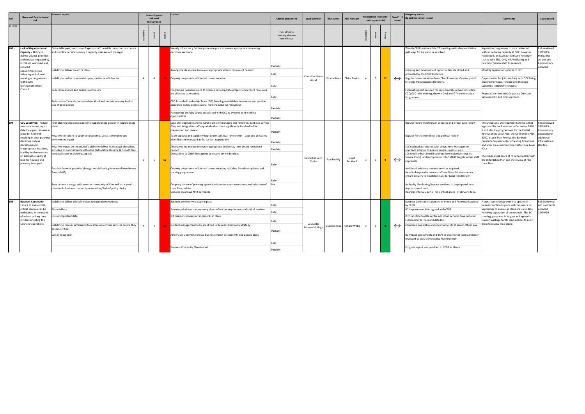|         | <b>Name and Description of</b>                                                                                                                                                                                                                                                 | tential impact                                                                                                                                                                                                                                                                                                                                                                                                                                                                                                                         |                         | Inherent (gross)<br>risk level<br>(no Controls) |    |                                                                                                                                                                                                                                                                                                                                                                                                                                                                                                                                                                                                                                                                       |                                                            | <b>Control assessment</b>       | <b>Lead Member</b> | <b>Risk owner</b>        | <b>Risk manager</b>     |                         |                 | Residual risk level (after<br>existing controls) |                                                                                                                                                                                                                                                                                                                                                                                                                                                                                                                                                                                                                                                |                                                                                                                                                                                                                                                                                                                                                                                                                                                                               | Direct'n of<br>trave                                                              | <b>Mitigating actions</b><br>(to address control issues) | Comment: | Last updated |
|---------|--------------------------------------------------------------------------------------------------------------------------------------------------------------------------------------------------------------------------------------------------------------------------------|----------------------------------------------------------------------------------------------------------------------------------------------------------------------------------------------------------------------------------------------------------------------------------------------------------------------------------------------------------------------------------------------------------------------------------------------------------------------------------------------------------------------------------------|-------------------------|-------------------------------------------------|----|-----------------------------------------------------------------------------------------------------------------------------------------------------------------------------------------------------------------------------------------------------------------------------------------------------------------------------------------------------------------------------------------------------------------------------------------------------------------------------------------------------------------------------------------------------------------------------------------------------------------------------------------------------------------------|------------------------------------------------------------|---------------------------------|--------------------|--------------------------|-------------------------|-------------------------|-----------------|--------------------------------------------------|------------------------------------------------------------------------------------------------------------------------------------------------------------------------------------------------------------------------------------------------------------------------------------------------------------------------------------------------------------------------------------------------------------------------------------------------------------------------------------------------------------------------------------------------------------------------------------------------------------------------------------------------|-------------------------------------------------------------------------------------------------------------------------------------------------------------------------------------------------------------------------------------------------------------------------------------------------------------------------------------------------------------------------------------------------------------------------------------------------------------------------------|-----------------------------------------------------------------------------------|----------------------------------------------------------|----------|--------------|
| 2019/20 |                                                                                                                                                                                                                                                                                |                                                                                                                                                                                                                                                                                                                                                                                                                                                                                                                                        |                         |                                                 |    |                                                                                                                                                                                                                                                                                                                                                                                                                                                                                                                                                                                                                                                                       | Fully effective<br>Partially effective<br>Not effective    |                                 |                    |                          |                         |                         |                 |                                                  |                                                                                                                                                                                                                                                                                                                                                                                                                                                                                                                                                                                                                                                |                                                                                                                                                                                                                                                                                                                                                                                                                                                                               |                                                                                   |                                                          |          |              |
| $L03 -$ | <b>Lack of Organisational</b><br>Capacity - Ability to<br>deliver Council priorities<br>and services impacted by<br>increased workload and<br>educed<br>capacity/resilience<br>following end of joint<br>working arrangements<br>with South<br>Northamptonshire<br>Council.    | Financial impact due to use of agency staff, possible impact on customers<br>and frontline service delivery if capacity risks are not managed.<br>nability to deliver council's plans<br>nability to realise commercial opportunities or efficiencies<br>Reduced resilience and business continuity<br>Reduced staff morale, increased workload and uncertainty may lead to<br>loss of good people                                                                                                                                     | $\overline{4}$          | $\overline{4}$                                  |    | Weekly HR Vacancy Control process in place to ensure appropriate resourcing<br>decisions are made.<br>Arrangements in place to source appropriate interim resource if needed<br>16 Ongoing programme of internal communication<br>Programme Boards in place to oversee key corporate projects and ensure resources<br>are allocated as required.<br>CDC Extended Leadership Team (ELT) Meetings established to oversee and provide<br>assurance on key organisational matters including resourcing.                                                                                                                                                                   | Partially<br>Fully<br>Fully<br>Fully<br>Partially          | <b>Councillor Barry</b><br>Wood | Yvonne Rees        | Claire Taylor            | $\overline{4}$          | $\overline{3}$          | 12 <sup>7</sup> | $\leftrightarrow$                                | Weekly CEDR and monthly ELT meetings with clear escalation<br>pathways for issues to be resolved.<br>Learning and development opportunities identified and<br>promoted by the Chief Executive.<br>Regular communications from Chief Executive. Quarterly staff<br>briefings from Assistant Directors.<br>External support secured for key corporate projects including<br>CDC/OCC joint working, Growth Deal and IT Transformation<br>Programme.                                                                                                                                                                                               | Separation programme to date delivered<br>without reducing capacity at CDC, however<br>resilience is an issue as teams are no longer<br>shared with SNC. Only HR, Wellbeing and<br>Customer Services left to separate.<br>Monthly separation updates to ELT<br>Opportunities for joint working with OCC being<br>explored for Legal, Finance and Strategic<br>Capability (corporate services).<br>roposals for two Joint Corporate Directors<br>between CDC and OCC approved. | Risk reviewed<br>1/09/19 -<br>Mitigating<br>actions and<br>Commentary<br>updated. |                                                          |          |              |
| $L04 -$ | <b>CDC Local Plan - Failure</b>                                                                                                                                                                                                                                                | Poor planning decisions leading to inappropriate growth in inappropriate                                                                                                                                                                                                                                                                                                                                                                                                                                                               |                         |                                                 |    | Partnership Working Group established with OCC to oversee joint working<br>opportunities.<br>Local Development Scheme (LDS) is actively managed and reviewed, built into Service                                                                                                                                                                                                                                                                                                                                                                                                                                                                                      | Partially                                                  |                                 |                    |                          |                         |                         |                 |                                                  | Regular review meetings on progress and critical path review                                                                                                                                                                                                                                                                                                                                                                                                                                                                                                                                                                                   | The latest Local Development Scheme is that                                                                                                                                                                                                                                                                                                                                                                                                                                   | Risk reviewed                                                                     |                                                          |          |              |
|         | to ensure sound, up to<br>date local plan remains in<br>place for Cherwell<br>resulting in poor planning<br>decisions such as<br>development in<br>inappropriate locations,<br>inability to demonstrate<br>an adequate supply of<br>land for housing and<br>planning by appeal | place.<br>Negative (or failure to optimise) economic, social, community and<br>environmental gain<br>Negative impact on the council's ability to deliver its strategic objectives,<br>cluding its commitments within the Oxfordshire Housing & Growth Deal<br>creased costs in planning appeals<br>Possible financial penalties through not delivering forecasted New Homes<br>Bonus (NHB)<br>Reputational damage with investor community of Cherwell as a good<br>place to do business created by uncertainty/ lack of policy clarity | $\overline{\mathbf{3}}$ | $5\overline{)}$                                 | 15 | Plan, and integral to staff appraisals of all those significantly involved in Plan<br>preparation and review<br>Team capacity and capability kept under continual review with gaps and pressures<br>identified and managed at the earliest opportunity.<br>Arrangements in place to source appropriate additional, time-bound resource if<br>needed<br>Delegations to Chief Exec agreed to ensure timely decisions<br>Ongoing programme of internal communication, including Members updates and<br>training programme<br>On-going review of planning appeal decisions to assess robustness and relevance of<br>Local Plan policies<br>Updates on annual NHB payments | Partially<br>Partially<br>Partially<br>Not                 | Councillor Colin<br>Clarke      | Paul Feehily       | David<br>Peckford        |                         | $\overline{3}$          |                 | $\leftrightarrow$                                | Regular Portfolio briefings and political review<br>LDS updated as required with programme management<br>approach adopted to ensure progress against plan<br>LDS timeline built into Directorate level objectives (e.g. via<br>Service Plans) and incorporated into SMART targets within staff<br>appraisals<br>Additional evidence commissioned as required.<br>Need to keep under review staff and financial resources to<br>ensure delivery to timetable (LDS) for Local Plan Review.<br>Authority Monitoring Reports continue to be prepared on a<br>regular annual basis<br>Hearings into CDC partial review took place in February 2019. | approved by the Executive in December 2018.<br>It includes the programmes for the Partial<br>Review of the Local Plan, the Oxfordshire Plan<br>2050, a Local Plan Review, the Banbury<br>Canalside Supplementary Planning Document<br>and work on a Community Infrastructure Level<br>$(CL)$ .<br>The residual risk score of '9' reflects delay with<br>the Oxfordshire Plan and the review of the<br>Local Plan.                                                             | 9/09/19 -<br>ommentary<br>ipdated and<br>dditional<br>nformation in<br>LO4 tab.   |                                                          |          |              |
| LO5 -   | <b>Business Continuity</b><br>Failure to ensure that<br>critical services can be<br>naintained in the event<br>of a short or long term<br>incident affecting the<br>Councils' operations                                                                                       | nability to deliver critical services to customers/residents<br>Financial loss<br>Loss of important data<br>nability to recover sufficiently to restore non-critical services before they<br>become critical<br>oss of reputation                                                                                                                                                                                                                                                                                                      |                         | $\overline{4}$                                  |    | Business continuity strategy in place<br>Services prioritised and recovery plans reflect the requirements of critical services<br>ICT disaster recovery arrangements in place<br>Incident management team identified in Business Continuity Strategy<br>All services undertake annual business impact assessments and update plans<br><b>Business Continuity Plans tested</b>                                                                                                                                                                                                                                                                                         | Fully<br>Fullv<br>Fully<br>Partially<br>Fully<br>Partially | Councillor<br>Andrew McHugh     |                    | Graeme Kane Richard Webb | $\overline{\mathbf{3}}$ | $\overline{\mathbf{3}}$ |                 | $\leftrightarrow$                                | Business Continuity Statement of Intent and Framework agreed<br>by CEDR<br>BC Improvement Plan agreed with CEDR<br>ICT transition to data centre and cloud services have reduced<br>likelihood of ICT loss and data loss<br>Corporate ownership and governance sits at senior officer level<br>BC Impact assessments and BCPs in place for all teams and peer<br>reviewed by OCC's Emergency Planning team<br>Progress report was provided to CEDR in March                                                                                                                                                                                    | A cross-council programme to update all<br>pusiness continuity plans will commence in<br>September to ensure all plans are up to date<br>ollowing separation of the councils. The BC<br>steering group met in August and agreed a<br>upport package for BC plan authors to assist<br>hem to review their plans.                                                                                                                                                               | Risk Reviewed<br>and comments<br>pdated<br>.2/09/19                               |                                                          |          |              |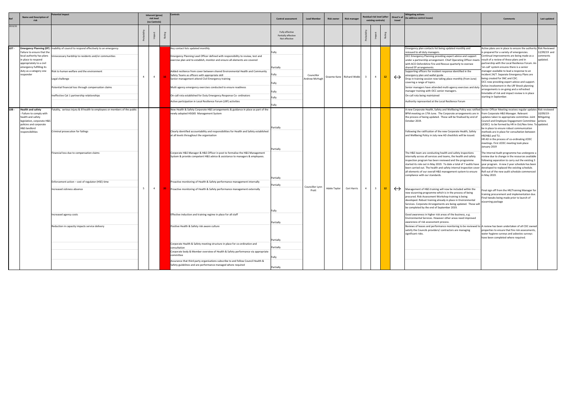|         | Name and Description of                                                                                                                                                       | 'otential impact                                                                                                                                                                                                                                                                                                     |                | <b>Inherent</b> (gross)<br>risk level<br>(no Controls) |                | Control                                                                                                                                                                                                                                                                                                                                                                                                                                                                                                                                                                                                   | <b>Control assessment</b>                                       | <b>Lead Member</b>          | <b>Risk owner</b> | <b>Risk manager</b>                                                                                                                                                                                                                     |                        | tesidual risk level (after<br>existing controls) |                 | travel            | <b>Mitigating actions</b><br>Direct'n of (to address control issues)                                                                                                                                                                                                                                                                                                                                                                                                                                                                                                                                                                                                                                                    | <b>Comments</b>                                                                                                                                                                                                                                                                                                                                                                                                                                                                                                                                                                                                                                                 | Last updated                        |  |                                                                                                                                                                                                                                                                                                                                                                                                                                                                                                                              |                                                                                                                                                                                                                   |  |
|---------|-------------------------------------------------------------------------------------------------------------------------------------------------------------------------------|----------------------------------------------------------------------------------------------------------------------------------------------------------------------------------------------------------------------------------------------------------------------------------------------------------------------|----------------|--------------------------------------------------------|----------------|-----------------------------------------------------------------------------------------------------------------------------------------------------------------------------------------------------------------------------------------------------------------------------------------------------------------------------------------------------------------------------------------------------------------------------------------------------------------------------------------------------------------------------------------------------------------------------------------------------------|-----------------------------------------------------------------|-----------------------------|-------------------|-----------------------------------------------------------------------------------------------------------------------------------------------------------------------------------------------------------------------------------------|------------------------|--------------------------------------------------|-----------------|-------------------|-------------------------------------------------------------------------------------------------------------------------------------------------------------------------------------------------------------------------------------------------------------------------------------------------------------------------------------------------------------------------------------------------------------------------------------------------------------------------------------------------------------------------------------------------------------------------------------------------------------------------------------------------------------------------------------------------------------------------|-----------------------------------------------------------------------------------------------------------------------------------------------------------------------------------------------------------------------------------------------------------------------------------------------------------------------------------------------------------------------------------------------------------------------------------------------------------------------------------------------------------------------------------------------------------------------------------------------------------------------------------------------------------------|-------------------------------------|--|------------------------------------------------------------------------------------------------------------------------------------------------------------------------------------------------------------------------------------------------------------------------------------------------------------------------------------------------------------------------------------------------------------------------------------------------------------------------------------------------------------------------------|-------------------------------------------------------------------------------------------------------------------------------------------------------------------------------------------------------------------|--|
| 2019/20 |                                                                                                                                                                               |                                                                                                                                                                                                                                                                                                                      |                |                                                        |                |                                                                                                                                                                                                                                                                                                                                                                                                                                                                                                                                                                                                           | Fully effective<br>Partially effective<br>Not effective         |                             |                   |                                                                                                                                                                                                                                         |                        |                                                  |                 |                   |                                                                                                                                                                                                                                                                                                                                                                                                                                                                                                                                                                                                                                                                                                                         |                                                                                                                                                                                                                                                                                                                                                                                                                                                                                                                                                                                                                                                                 |                                     |  |                                                                                                                                                                                                                                                                                                                                                                                                                                                                                                                              |                                                                                                                                                                                                                   |  |
| L07 -   | Failure to ensure that the<br>local authority has plans<br>in place to respond<br>appropriately to a civil<br>emergency fulfilling its<br>duty as a category one<br>responder | Emergency Planning (EP) - Inability of council to respond effectively to an emergency<br>Unnecessary hardship to residents and/or communities<br>Risk to human welfare and the environment<br>Legal challenge<br>Potential financial loss through compensation claims<br>Ineffective Cat 1 partnership relationships | $\overline{4}$ |                                                        | $\overline{4}$ | Key contact lists updated monthly.<br>Emergency Planning Lead Officer defined with responsibility to review, test and<br>exercise plan and to establish, monitor and ensure all elements are covered<br>Added resilience from cover between shared Environmental Health and Community<br>Safety Teams as officers with appropriate skill<br>Senior management attend Civil Emergency training<br>Multi agency emergency exercises conducted to ensure readiness<br>On-call rota established for Duty Emergency Response Co- ordinators<br>Active participation in Local Resilience Forum (LRF) activities | Fully<br>Partially<br>Fully<br>Fully<br>Fully<br>Fully<br>Fully | Councillor<br>Andrew McHugh |                   | Graeme Kane Richard Webb                                                                                                                                                                                                                |                        | $\overline{4}$                                   | 12 <sub>2</sub> | $\leftrightarrow$ | Emergency plan contacts list being updated monthly and<br>reissued to all duty managers.<br>OCC Emergency Planning providing expert advice and support<br>under a partnership arrangement. Chief Operating Officer meets<br>with ACO Oxfordshire Fire and Rescue quarterly to oversee<br>shared EP arrangements.<br>upporting officers for incident response identified in the<br>mergency plan and wallet guide<br>Drop in training session now taking place monthly (from June)<br>covering a range of topics.<br>Senior managers have attended multi-agency exercises and duty<br>manager training with OCC senior managers.<br>On-call rota being maintained<br>Authority represented at the Local Resilience Forum | Active plans are in place to ensure the authority Risk Reviewed<br>s prepared for a variety of emergencies.<br>Continual improvements are being made as a<br>result of a review of these plans and in<br>partnership with the Local Resilience Forum. Ar<br>'on-call' system ensures there is a senior<br>manager available to lead a response to an<br>incident 24/7. Separate Emergency Plans are<br>being created for SNC and CDC.<br>OCC now providing expert advice and support.<br>Active involvement in the LRF Brexit planning<br>arrangements is on-going and a refreshed<br>timetable of risk and impact review is in place<br>starting in September. | 2/09/19 and<br>omments:<br>updated. |  |                                                                                                                                                                                                                                                                                                                                                                                                                                                                                                                              |                                                                                                                                                                                                                   |  |
| L08 -   | <b>Health and safety</b><br>- Failure to comply with<br>health and safety<br>legislation, corporate H&S<br>policies and corporate<br>H&S landlord<br>responsibilities         | Fatality, serious injury & ill health to employees or members of the public<br>Criminal prosecution for failings                                                                                                                                                                                                     |                |                                                        |                | New Health & Safety Corporate H&S arrangements & guidance in place as part of the<br>newly adopted HSG65 Management System<br>Clearly identified accountability and responsibilities for Health and Safety established<br>at all levels throughout the organisation                                                                                                                                                                                                                                                                                                                                       | Partially                                                       |                             |                   |                                                                                                                                                                                                                                         |                        |                                                  |                 |                   | A new Corporate Health, Safety and Wellbeing Policy was ratified Senior Officer Meeting receives regular updates Risk reviewed<br>BPM meeting on 17th June. The Corporate arrangements are in<br>the process of being updated. These will be finalised by end of<br>October 2019.<br>Following the ratification of the new Corporate Health, Safety<br>and Wellbeing Policy in July new AD checklists will be issued.                                                                                                                                                                                                                                                                                                   | from Corporate H&S Manager. Relevant<br>updates taken to appropriate committee. Joint<br>Council and Employee Engagement Committee actions<br>(JCEEC) to be formed by HR in Oct/Nov time. To updated.<br>be in place to ensure robust communication<br>methods are in place for consultation between<br>HR/H&S and TU.<br>HR AD in the process of co-ordinating JCEEC<br>meetings. First JCEEC meeting took place<br>January 2019                                                                                                                                                                                                                               | 10/09/19 -<br>Mitigating            |  |                                                                                                                                                                                                                                                                                                                                                                                                                                                                                                                              |                                                                                                                                                                                                                   |  |
|         |                                                                                                                                                                               | Financial loss due to compensation claims<br>Enforcement action - cost of regulator (HSE) time                                                                                                                                                                                                                       |                |                                                        |                |                                                                                                                                                                                                                                                                                                                                                                                                                                                                                                                                                                                                           |                                                                 |                             |                   | Corporate H&S Manager & H&S Officer in post to formalise the H&S Management<br>System & provide competent H&S advice & assistance to managers & employees.<br>Proactive monitoring of Health & Safety performance management internally | Partially<br>Partially |                                                  |                 |                   |                                                                                                                                                                                                                                                                                                                                                                                                                                                                                                                                                                                                                                                                                                                         |                                                                                                                                                                                                                                                                                                                                                                                                                                                                                                                                                                                                                                                                 |                                     |  | The H&S team are conducting health and safety inspections<br>internally across all services and teams, the health and safety<br>inspection program has been reviewed and the programme<br>started its role out in May 2019. To date a total of 7 audits have year program. A new 2 year schedule has been<br>been carried out. The health and safety internal inspection cover developed to replaced the existing schedule.<br>all elements of our overall H&S management system to ensure<br>compliance with our standards. | The Internal Audit programme has undergone<br>review due to change in the resources available<br>following separation to carry out the existing 3<br>Roll out of the new audit schedule commenced<br>in May 2019. |  |
|         |                                                                                                                                                                               | Increased sickness absence<br>Increased agency costs                                                                                                                                                                                                                                                                 | 5 <sup>5</sup> |                                                        | $\overline{4}$ | Proactive monitoring of Health & Safety performance management externally<br>Effective induction and training regime in place for all staff                                                                                                                                                                                                                                                                                                                                                                                                                                                               | Partially<br>Fully                                              | Councillor Lynn<br>Pratt    | Adele Taylor      | Ceri Harris                                                                                                                                                                                                                             | $\overline{4}$         | $\overline{\mathbf{3}}$                          | 12 <sub>2</sub> | $\leftrightarrow$ | Management of H&S training will now be included within the<br>new eLearning programme which is in the process of being<br>procured. Risk Assessment Workshop training is being<br>developed. Robust training already in place in Environmental<br>Services. Corporate Arrangements are being updated. These wil<br>be completed by the end of September 2019.<br>Good awareness in higher risk areas of the business, e.g.                                                                                                                                                                                                                                                                                              | Final sign off from the HR/Training Manager for<br>training procurement and implementation due<br>Final tweaks being made prior to launch of<br>eLearning package                                                                                                                                                                                                                                                                                                                                                                                                                                                                                               |                                     |  |                                                                                                                                                                                                                                                                                                                                                                                                                                                                                                                              |                                                                                                                                                                                                                   |  |
|         |                                                                                                                                                                               | Reduction in capacity impacts service delivery                                                                                                                                                                                                                                                                       |                |                                                        |                | Positive Health & Safety risk aware culture<br>Corporate Health & Safety meeting structure in place for co-ordination and                                                                                                                                                                                                                                                                                                                                                                                                                                                                                 | Partially<br>Partially                                          |                             |                   |                                                                                                                                                                                                                                         |                        |                                                  |                 |                   | Environmental Services. However other areas need improved<br>awareness of risk assessment process.<br>Reviews of leases and performance monitoring to be reviewed to A review has been undertaken of all CDC owner<br>satisfy the Councils providers/ contractors are managing<br>significant risks.                                                                                                                                                                                                                                                                                                                                                                                                                    | properties to ensure that fire risk assessments,<br>vater hygiene surveys and asbestos surveys<br>have been completed where required.                                                                                                                                                                                                                                                                                                                                                                                                                                                                                                                           |                                     |  |                                                                                                                                                                                                                                                                                                                                                                                                                                                                                                                              |                                                                                                                                                                                                                   |  |
|         |                                                                                                                                                                               |                                                                                                                                                                                                                                                                                                                      |                |                                                        |                | consultation<br>Corporate body & Member overview of Health & Safety performance via appropriate<br>committee<br>Assurance that third party organisations subscribe to and follow Council Health &<br>Safety guidelines and are performance managed where required                                                                                                                                                                                                                                                                                                                                         | Partially<br>Fully<br>Partially                                 |                             |                   |                                                                                                                                                                                                                                         |                        |                                                  |                 |                   |                                                                                                                                                                                                                                                                                                                                                                                                                                                                                                                                                                                                                                                                                                                         |                                                                                                                                                                                                                                                                                                                                                                                                                                                                                                                                                                                                                                                                 |                                     |  |                                                                                                                                                                                                                                                                                                                                                                                                                                                                                                                              |                                                                                                                                                                                                                   |  |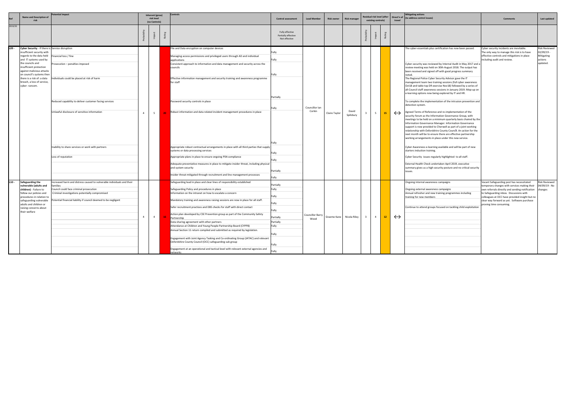|         | <b>Name and Description of</b><br>risk                                                                                                                                                                                                                                                                                   | tential impact                                                                                                                                                                                                                                                                             | <b>Inherent (gross)</b><br>risk level<br>(no Controls) | Controls |                                                                                                                                                                                                                                                                                                                                                                                                                                                                                                                                                                                                                                                                                                                                                                                                                                                               | <b>Control assessment</b>                               | <b>Lead Member</b>       | <b>Risk owner</b>        | <b>Risk manager</b> |                         | Residual risk level (after<br>existing controls) |    | Direct'n of<br>travel | <b>Mitigating actions</b><br>(to address control issues)                                                                                                                                                                                                                                                                                                                                                                                                                                                                                                                                                                                                                                                                                                                                                                                                                                                                                                                                                                                                                                                                                                                                                                                                                                                                                                                                                                                                                                      | <b>Comments</b>                                                                                                                                                                                                                                                                                                     | Last updated                                                    |
|---------|--------------------------------------------------------------------------------------------------------------------------------------------------------------------------------------------------------------------------------------------------------------------------------------------------------------------------|--------------------------------------------------------------------------------------------------------------------------------------------------------------------------------------------------------------------------------------------------------------------------------------------|--------------------------------------------------------|----------|---------------------------------------------------------------------------------------------------------------------------------------------------------------------------------------------------------------------------------------------------------------------------------------------------------------------------------------------------------------------------------------------------------------------------------------------------------------------------------------------------------------------------------------------------------------------------------------------------------------------------------------------------------------------------------------------------------------------------------------------------------------------------------------------------------------------------------------------------------------|---------------------------------------------------------|--------------------------|--------------------------|---------------------|-------------------------|--------------------------------------------------|----|-----------------------|-----------------------------------------------------------------------------------------------------------------------------------------------------------------------------------------------------------------------------------------------------------------------------------------------------------------------------------------------------------------------------------------------------------------------------------------------------------------------------------------------------------------------------------------------------------------------------------------------------------------------------------------------------------------------------------------------------------------------------------------------------------------------------------------------------------------------------------------------------------------------------------------------------------------------------------------------------------------------------------------------------------------------------------------------------------------------------------------------------------------------------------------------------------------------------------------------------------------------------------------------------------------------------------------------------------------------------------------------------------------------------------------------------------------------------------------------------------------------------------------------|---------------------------------------------------------------------------------------------------------------------------------------------------------------------------------------------------------------------------------------------------------------------------------------------------------------------|-----------------------------------------------------------------|
| 2019/20 |                                                                                                                                                                                                                                                                                                                          |                                                                                                                                                                                                                                                                                            |                                                        |          |                                                                                                                                                                                                                                                                                                                                                                                                                                                                                                                                                                                                                                                                                                                                                                                                                                                               | Fully effective<br>Partially effective<br>Not effective |                          |                          |                     |                         |                                                  |    |                       |                                                                                                                                                                                                                                                                                                                                                                                                                                                                                                                                                                                                                                                                                                                                                                                                                                                                                                                                                                                                                                                                                                                                                                                                                                                                                                                                                                                                                                                                                               |                                                                                                                                                                                                                                                                                                                     |                                                                 |
| L09 -   | Cyber Security - If there is Service disruption<br>nsufficient security with<br>regards to the data held<br>and IT systems used by<br>the councils and<br>insufficient protection<br>against malicious attacks<br>on council's systems then<br>there is a risk of: a data<br>breach, a loss of service,<br>cyber-ransom. | Financial loss / fine<br>rosecution – penalties imposed<br>ndividuals could be placed at risk of harm<br>Reduced capability to deliver customer facing services<br>Unlawful disclosure of sensitive information<br>Inability to share services or work with partners<br>Loss of reputation | $\mathbf{A}$<br>5                                      |          | File and Data encryption on computer devices<br>Managing access permissions and privileged users through AD and individual<br>applications<br>Consistent approach to information and data management and security across the<br>councils<br>Effective information management and security training and awareness programme<br>for staff<br>Password security controls in place<br>Robust information and data related incident management procedures in place<br>Appropriate robust contractual arrangements in place with all third parties that supply<br>systems or data processing services<br>Appropriate plans in place to ensure ongoing PSN compliance<br>Adequate preventative measures in place to mitigate insider threat, including physical<br>and system security<br>Insider threat mitigated through recruitment and line management processes | Partially<br>Fully<br>Partially<br>Fully                | Councillor Ian<br>Corkin | Claire Taylor            | David<br>Spilsbury  |                         | 5                                                | 15 | $\leftrightarrow$     | The cyber-essentials plus certification has now been passed.<br>Cyber-security was reviewed by Internal Audit in May 2017 and a<br>review meeting was held on 30th August 2018. The output has<br>been received and signed off with good progress summary<br>The Regional Police Cyber Security Advisor gave the IT<br>management team two training sessions (full cyber awareness<br>Oct18 and table top DR exercise Nov18) followed by a series of<br>all-Council staff awareness sessions in January 2019. Mop-up on<br>e-learning options now being explored by IT and HR.<br>To complete the implementation of the intrusion prevention and<br>detection system.<br>Agreed Terms of Reference and re-implementation of the<br>security forum as the Information Governance Group, with<br>meetings to be held on a minimum quarterly basis chaired by the<br>Information Governance Manager. Information Governance<br>support is now provided to Cherwell as part of a joint working<br>relationship with Oxfordshire County Council. An action for the<br>next month will be to ensure there are effective partnership<br>working arrangements in place under this new service.<br>Cyber Awareness e-learning available and will be part of new<br>starters induction training.<br>Cyber Security issues regularly highlighted to all staff.<br>External Health Check undertaken April 2019, executive<br>summary gives us a high security posture and no critical security<br>issues. | Cyber security incidents are inevitable.<br>The only way to manage this risk is to have<br>effective controls and mitigations in place<br>including audit and review.                                                                                                                                               | lisk Reviewed<br>2/09/19 -<br>Aitigating<br>actions<br>updated. |
| $L10 -$ | Safeguarding the<br>vulnerable (adults and<br>children) - Failure to<br>follow our policies and<br>procedures in relation to<br>safeguarding vulnerable<br>adults and children or<br>raising concerns about                                                                                                              | ncreased harm and distress caused to vulnerable individuals and their<br>amilies<br>Council could face criminal prosecution<br>riminal investigations potentially compromised<br>tential financial liability if council deemed to be negligent                                             |                                                        |          | Safeguarding lead in place and clear lines of responsibility established<br>Safeguarding Policy and procedures in place<br>Information on the intranet on how to escalate a concern<br>Mandatory training and awareness raising sessions are now in place for all staff.<br>Safer recruitment practices and DBS checks for staff with direct contact                                                                                                                                                                                                                                                                                                                                                                                                                                                                                                          | Partially<br>Fully<br>Fully<br>Fully                    |                          |                          |                     |                         |                                                  |    |                       | Ongoing internal awareness campaigns<br>Ongoing external awareness campaigns<br>Annual refresher and new training programmes including<br>training for new members<br>Continue to attend groups focused on tackling child exploitation                                                                                                                                                                                                                                                                                                                                                                                                                                                                                                                                                                                                                                                                                                                                                                                                                                                                                                                                                                                                                                                                                                                                                                                                                                                        | Vacant Safeguarding post has necessitated<br>temporary changes with services making their<br>own referrals directly and sending notification<br>to Safeguarding inbox. Discussions with<br>colleagues at OCC have provided insight but no<br>clear way forward as yet. Software purchase<br>proving time consuming. | lisk Reviewed<br>04/09/19 - No<br>changes                       |
|         | their welfare                                                                                                                                                                                                                                                                                                            |                                                                                                                                                                                                                                                                                            | $\overline{4}$<br>$\overline{4}$                       |          | Action plan developed by CSE Prevention group as part of the Community Safety<br>Partnership<br>Data sharing agreement with other partners<br>Attendance at Children and Young People Partnership Board (CYPPB)<br>Annual Section 11 return compiled and submitted as required by legislation.<br>Engagement with Joint Agency Tasking and Co-ordinating Group (JATAC) and relevant<br>Oxfordshire County Council (OCC) safeguarding sub group<br>Engagement at an operational and tactical level with relevant external agencies and<br><b>networks</b>                                                                                                                                                                                                                                                                                                      | Partially<br>Partially<br>Fully                         | Councillor Barry<br>Wood | Graeme Kane Nicola Riley |                     | $\overline{\mathbf{3}}$ | $\overline{4}$                                   | 12 | $\leftrightarrow$     |                                                                                                                                                                                                                                                                                                                                                                                                                                                                                                                                                                                                                                                                                                                                                                                                                                                                                                                                                                                                                                                                                                                                                                                                                                                                                                                                                                                                                                                                                               |                                                                                                                                                                                                                                                                                                                     |                                                                 |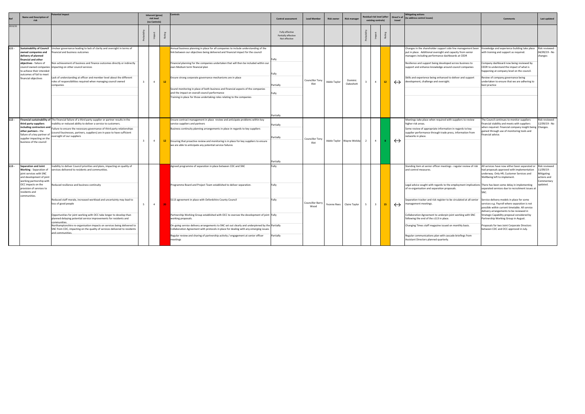|         | <b>Name and Description of</b><br>risk                                                                                                                                                                                       | ential impact                                                                                                                                                                                                                                                                                                                                                                                                                                                                                                                                                                                                      |                                  | Control<br>Inherent (gross)<br>risk level<br>(no Controls) |                                                                                                                                                                                                                                                                                                                                                                                                                                                                                                                                                                                                             | <b>Control assessment</b>                               | <b>Lead Member</b>                     | <b>Risk owner</b> | <b>Risk manager</b>       | esidual risk level (after<br>existing controls) |                         | travel |                   | <b>Mitigating actions</b><br>Direct'n of (to address control issues)                                                                                                                                                                                                                                                                                                                                                                                                                                                                                                                                                                                                            | Comment                                                                                                                                                                                                                                                                                                                                                                                                                                                                                                                                                     | Last updated                                                                           |
|---------|------------------------------------------------------------------------------------------------------------------------------------------------------------------------------------------------------------------------------|--------------------------------------------------------------------------------------------------------------------------------------------------------------------------------------------------------------------------------------------------------------------------------------------------------------------------------------------------------------------------------------------------------------------------------------------------------------------------------------------------------------------------------------------------------------------------------------------------------------------|----------------------------------|------------------------------------------------------------|-------------------------------------------------------------------------------------------------------------------------------------------------------------------------------------------------------------------------------------------------------------------------------------------------------------------------------------------------------------------------------------------------------------------------------------------------------------------------------------------------------------------------------------------------------------------------------------------------------------|---------------------------------------------------------|----------------------------------------|-------------------|---------------------------|-------------------------------------------------|-------------------------|--------|-------------------|---------------------------------------------------------------------------------------------------------------------------------------------------------------------------------------------------------------------------------------------------------------------------------------------------------------------------------------------------------------------------------------------------------------------------------------------------------------------------------------------------------------------------------------------------------------------------------------------------------------------------------------------------------------------------------|-------------------------------------------------------------------------------------------------------------------------------------------------------------------------------------------------------------------------------------------------------------------------------------------------------------------------------------------------------------------------------------------------------------------------------------------------------------------------------------------------------------------------------------------------------------|----------------------------------------------------------------------------------------|
| 2019/20 |                                                                                                                                                                                                                              |                                                                                                                                                                                                                                                                                                                                                                                                                                                                                                                                                                                                                    |                                  |                                                            |                                                                                                                                                                                                                                                                                                                                                                                                                                                                                                                                                                                                             | Fully effective<br>Partially effective<br>Not effective |                                        |                   |                           |                                                 |                         |        |                   |                                                                                                                                                                                                                                                                                                                                                                                                                                                                                                                                                                                                                                                                                 |                                                                                                                                                                                                                                                                                                                                                                                                                                                                                                                                                             |                                                                                        |
| $L11 -$ | owned companies and<br>delivery of planned<br>financial and other<br>objectives - failure of<br>to achieve their intended<br>outcomes of fail to meet<br>financial objectives                                                | Sustainability of Council   Unclear governance leading to lack of clarity and oversight in terms of<br>inancial and business outcomes<br>Non achievement of business and finance outcomes directly or indirectly<br>council owned companies impacting on other council services<br>Lack of understanding at officer and member level about the different<br>roles of responsibilities required when managing council owned<br>companies                                                                                                                                                                            | $\overline{4}$<br>$\overline{3}$ | 12                                                         | Annual business planning in place for all companies to include understanding of the<br>link between our objectives being delivered and financial impact for the council<br>Financial planning for the companies undertaken that will then be included within our<br>own Medium term financial plan<br>Ensure strong corporate governance mechanisms are in place<br>Sound monitoring in place of both business and financial aspects of the companies<br>and the impact on overall council performance<br>Training in place for those undertaking roles relating to the companies                           | Fully<br>Fully<br>Partially<br>∶ully<br>Partially       | <b>Councillor Tony</b><br><b>Illot</b> | Adele Taylor      | Dominic<br>Oakeshott      |                                                 | $\overline{4}$          | 12     | $\leftrightarrow$ | Changes in the shareholder support side line management been<br>put in place. Additional oversight and capacity from senior<br>managers including performance dashboards at CEDR<br>Resilience and support being developed across business to<br>support and enhance knowledge around council companies<br>Skills and experience being enhanced to deliver and support<br>development, challenge and oversight.                                                                                                                                                                                                                                                                 | Knowledge and experience building take place<br>with training and support as required.<br>Company dashboard now being reviewed by<br>CEDR to understand the impact of what is<br>happening at company level on the council.<br>Review of company governance being<br>undertaken to ensure that we are adhering to<br>best practice                                                                                                                                                                                                                          | Risk reviewed -<br>04/09/19 - No<br>changes                                            |
| $L12 -$ | third party suppliers<br>including contractors and<br>other partners - the<br>failure of a key partner of<br>supplier impacting on the<br>business of the council                                                            | Financial sustainability of The financial failure of a third party supplier or partner results in the<br>inability or reduced ability to deliver a service to customers.<br>Failure to ensure the necessary governance of third party relationships<br>council businesses, partners, suppliers) are in pace to have sufficient<br>versight of our suppliers                                                                                                                                                                                                                                                        | $\mathbf{3}$<br>$\overline{4}$   | 12                                                         | Ensure contract management in place review and anticipate problems within key<br>service suppliers and partners<br>Business continuity planning arrangements in place in regards to key suppliers<br>Ensuring that proactive review and monitoring is in place for key suppliers to ensure<br>we are able to anticipate any potential service failures                                                                                                                                                                                                                                                      | Partially<br>Partially<br>Partially                     | <b>Councillor Tony</b><br>Illot        |                   | Adele Taylor Wayne Welsby | $\overline{2}$                                  | 4                       |        | $\leftrightarrow$ | Meetings take place when required with suppliers to review<br>higher risk areas.<br>Some review of appropriate information in regards to key<br>supplier performance through trade press, information from<br>etworks in place.                                                                                                                                                                                                                                                                                                                                                                                                                                                 | The Council continues to monitor suppliers<br>financial stability and meets with suppliers<br>vhen required. Financial company insight being Changes.<br>gained through use of monitoring tools and<br>financial advice.                                                                                                                                                                                                                                                                                                                                    | Risk reviewed -<br>12/09/19 - No                                                       |
| $L13 -$ | <b>Separation and Joint</b><br>Working - Separation of<br>joint services with SNC<br>and development of joint<br>working partnership with<br>OCC impacts on the<br>provision of services to<br>residents and<br>communities. | Inability to deliver Council priorities and plans, impacting on quality of<br>services delivered to residents and communities.<br>Reduced resilience and business continuity<br>Reduced staff morale, increased workload and uncertainty may lead to<br>loss of good people<br>Opportunities for joint working with OCC take longer to develop than<br>planned delaying potential service improvements for residents and<br>communities<br>Northamptonshire re-organisation impacts on services being delivered to<br>SNC from CDC, impacting on the quality of services delivered to residents<br>and communities | $\overline{4}$<br>-5             |                                                            | Agreed programme of separation in place between CDC and SNC<br>Programme Board and Project Team established to deliver separation.<br>S113 agreement in place with Oxfordshire County Council<br>Partnership Working Group established with OCC to oversee the development of joint Fully<br>working proposals.<br>On-going service delivery arrangements to SNC set out clearly and underpinned by the Partially<br>Collaboration Agreement with protocols in place for dealing with any emerging issues.<br>Regular review and sharing of partnership activity / engagement at senior officer<br>meetings | Fully<br>Fully<br>Fully<br>Partially                    | Councillor Barry<br>Wood               |                   | Yvonne Rees Claire Taylor | 5                                               | $\overline{\mathbf{3}}$ | 15     |                   | Standing item at senior officer meetings - regular review of risk   All services have now either been separated or<br>and control measures.<br>Legal advice sought with regards to the employment implications There has been some delay in implementing<br>of re-organisation and separation proposals.<br>Separation tracker and risk register to be circulated at all senior<br>management meetings.<br>Collaboration Agreement to underpin joint working with SNC<br>following the end of the s113 in place.<br>Changing Times staff magazine issued on monthly basis.<br>Regular communications plan with cascade briefings from<br>Assistant Directors planned quarterly. | had proposals approved with implementation<br>underway. Only HR, Customer Services and<br>Wellbeing left to implement.<br>separated services due to recruitment issues at<br>SNC.<br>Service delivery models in place for some<br>services e.g. Payroll where separation is not<br>possible within current timetable. All service<br>delivery arrangements to be reviewed in<br>Strategic Capability proposal considered by<br>Partnership Working Group in August.<br>roposals for two Joint Corporate Directors'<br>between CDC and OCC approved in July. | Risk reviewed<br>1/09/19 -<br><b>litigating</b><br>ctions and<br>ommentary<br>updated. |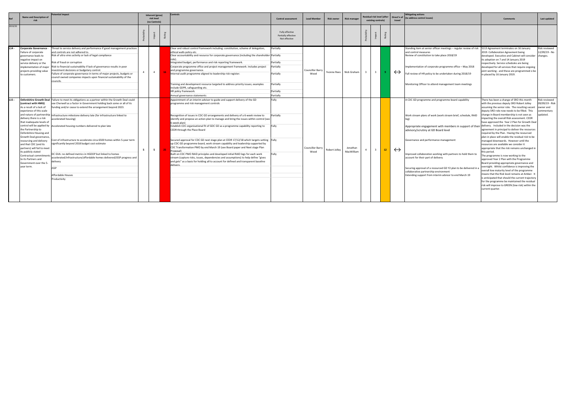| 2019/20 | risk                                                                                                                                                                                                                                                                                                                                                                                                               |                                                                                                                                                                                                                                                                                                                                                                                                                                                                                                                                                                                                                                                                                                                                                                                           | Inherent (gross)<br>risk level<br>(no Controls) |  |                                                                                                                                                                                                                                                                                                                                                                                                                                                                                                                                                                                                                                                                                                                                                                                                                                                                                                                                                                                             |                                                                                         |                          |               | <b>Controls</b>         | <b>Control assessment</b> | <b>Lead Member</b>      | <b>Risk owner</b> | <b>Risk manager</b> |                                                                                                                                                                                                                                                                                                                                                                                                                                                                                                                                                                                      | Residual risk level (after<br>existing controls)                                                                                                                                                                                                                                                                                                                                                                                                                                                                                                                                                                                                                                                                                                                                                                                                                                                                                                                                                                                                                                                                |                                                                        | Direct'n of<br>travel | <b>Mitigating actions</b><br>(to address control issues) | <b>Comments</b> | Last updated |
|---------|--------------------------------------------------------------------------------------------------------------------------------------------------------------------------------------------------------------------------------------------------------------------------------------------------------------------------------------------------------------------------------------------------------------------|-------------------------------------------------------------------------------------------------------------------------------------------------------------------------------------------------------------------------------------------------------------------------------------------------------------------------------------------------------------------------------------------------------------------------------------------------------------------------------------------------------------------------------------------------------------------------------------------------------------------------------------------------------------------------------------------------------------------------------------------------------------------------------------------|-------------------------------------------------|--|---------------------------------------------------------------------------------------------------------------------------------------------------------------------------------------------------------------------------------------------------------------------------------------------------------------------------------------------------------------------------------------------------------------------------------------------------------------------------------------------------------------------------------------------------------------------------------------------------------------------------------------------------------------------------------------------------------------------------------------------------------------------------------------------------------------------------------------------------------------------------------------------------------------------------------------------------------------------------------------------|-----------------------------------------------------------------------------------------|--------------------------|---------------|-------------------------|---------------------------|-------------------------|-------------------|---------------------|--------------------------------------------------------------------------------------------------------------------------------------------------------------------------------------------------------------------------------------------------------------------------------------------------------------------------------------------------------------------------------------------------------------------------------------------------------------------------------------------------------------------------------------------------------------------------------------|-----------------------------------------------------------------------------------------------------------------------------------------------------------------------------------------------------------------------------------------------------------------------------------------------------------------------------------------------------------------------------------------------------------------------------------------------------------------------------------------------------------------------------------------------------------------------------------------------------------------------------------------------------------------------------------------------------------------------------------------------------------------------------------------------------------------------------------------------------------------------------------------------------------------------------------------------------------------------------------------------------------------------------------------------------------------------------------------------------------------|------------------------------------------------------------------------|-----------------------|----------------------------------------------------------|-----------------|--------------|
|         |                                                                                                                                                                                                                                                                                                                                                                                                                    |                                                                                                                                                                                                                                                                                                                                                                                                                                                                                                                                                                                                                                                                                                                                                                                           |                                                 |  |                                                                                                                                                                                                                                                                                                                                                                                                                                                                                                                                                                                                                                                                                                                                                                                                                                                                                                                                                                                             | Fully effective<br>Partially effective<br>Not effective                                 |                          |               |                         |                           |                         |                   |                     |                                                                                                                                                                                                                                                                                                                                                                                                                                                                                                                                                                                      |                                                                                                                                                                                                                                                                                                                                                                                                                                                                                                                                                                                                                                                                                                                                                                                                                                                                                                                                                                                                                                                                                                                 |                                                                        |                       |                                                          |                 |              |
| $L14 -$ | <b>Corporate Governance</b><br>Failure of corporate<br>governance leads to<br>negative impact on<br>service delivery or the<br>projects providing value<br>to customers.                                                                                                                                                                                                                                           | Threat to service delivery and performance if good management practices<br>and controls are not adhered to.<br>Risk of ultra vires activity or lack of legal compliance<br>Risk of fraud or corruption<br>implementation of major Risk to financial sustainability if lack of governance results in poor<br>nvestment decisions or budgetary control.<br>Failure of corporate governance in terms of major projects, budgets or<br>council owned companies impacts upon financial sustainability of the<br>councils.                                                                                                                                                                                                                                                                      | $\overline{4}$                                  |  | Clear and robust control framework including: constitution, scheme of delegation,<br>ethical walls policy etc.<br>Clear accountability and resource for corporate governance (including the shareholder Partially<br>role).<br>Integrated budget, performance and risk reporting framework.<br>Corporate programme office and project management framework. Includes project<br>and programme governance.<br>Internal audit programme aligned to leadership risk register.<br>Training and development resource targeted to address priority issues; examples<br>nclude GDPR, safeguarding etc.<br>HR policy framework.<br>Annual governance statements                                                                                                                                                                                                                                                                                                                                     | Partially<br>Partially<br>Partially<br>Partially<br>Partially<br>Partially<br>Partially | Councillor Barry<br>Wood |               | Yvonne Rees Nick Graham | $\overline{\mathbf{3}}$   | $\overline{\mathbf{3}}$ |                   | $\leftrightarrow$   | Standing item at senior officer meetings - regular review of risk<br>and control measures<br>Review of constitution to take place 2018/19<br>Implementation of corporate programme office - May 2018<br>Full review of HR policy to be undertaken during 2018/19<br>Monitoring Officer to attend management team meetings                                                                                                                                                                                                                                                            | S113 Agreement terminates on 16 January<br>2019. Collaboration Agreement being<br>developed. Executive and Cabinet will consider changes.<br>its adoption on 7 and 14 January 2019<br>respectively. Service schedules are being<br>developed for all services that require ongoing<br>joint working - and these are programmed o be<br>in placed by 16 January 2019.                                                                                                                                                                                                                                                                                                                                                                                                                                                                                                                                                                                                                                                                                                                                            | Risk reviewed<br>2/09/19 - No                                          |                       |                                                          |                 |              |
|         | (contract with HMG)<br>As a result of a lack of<br>experience of this scale<br>delivery there is a risk<br>that inadequate levels of<br>the Partnership to<br>Oxfordshire Housing and<br>Growth Deal governance,<br>resourcing and delivery<br>and that CDC (and its<br>partners) will fail to meet<br>its publicly stated<br>Contractual commitmer<br>to its Partners and<br>Government over the 5-<br>year term. | Oxfordshire Growth Deal   Failure to meet its obligations as a partner within the Growth Deal could<br>see Cherwell as a factor in Government holding back some or all of its<br>unding and/or cease to extend the arrangement beyond 2023.<br>and nature of partnership Infrastructure milestone delivery late (for infrastructure linked to<br>accelerated housing)<br>control will be applied by Accelerated housing numbers delivered to plan late<br>ost of infrastructure to accelerate circa 6500 homes within 5-year term<br>significantly beyond 2018 budget cost estimate<br>DC GVA: no defined metrics in HGDDP but linked to homes<br>accelerated/infrastructure/affordable homes delivered/JSSP progress and<br>delivery<br><b>ISSP</b><br>Affordable Houses<br>Productivity | $5^{\circ}$<br>5                                |  | Appointment of an interim advisor to guide and support delivery of the GD<br>programme and risk management controls<br>Recognition of issues in CDC GD arrangements and delivery of a 6-week review to<br>identify and propose an action plan to manage and bring the issues within control (see<br>5-week plan)<br>Establish CDC organisational fit of GDC GD as a programme capability reporting to<br>CEDR through the Place Board<br>Secured approval for CDC GD next stage plan at CEDR 17/12/18 which targets setting Fully<br>up CDC GD programme board, work stream capability and leadership supported by<br>CDC Transformation PMO by end March 19 (see Board paper and Next stage Plan<br>Proposal)<br>Built on CDC PMO RAID principles and developed initial RAID logs for each work<br>stream (capture risks, issues, dependencies and assumptions) to help define "gives<br>and gets" as a basis for holding all to account for defined and transparent baseline<br>deliverv. | Fully<br>Partially<br>Fully                                                             | Councillor Barry<br>Wood | Robert Jolley | Jonathan<br>MacWilliam  |                           | $\overline{3}$          | 12                | $\leftrightarrow$   | A CDC GD programme and programme board capability<br>Work stream plans of work (work stream brief, schedule, RAID<br>Appropriate engagement with members in support of their delivery. Included in the decision was the<br>advisory/scrutiny at GD Board level<br>Governance and performance management<br>Improved collaboration working with partners to hold them to<br>account for their part of delivery<br>Securing approval of a resourced GD Y2 plan to be delivered in a<br>collaborative partnership environment<br>Extending support from interim advisor to end March 19 | There has been a change of SRO this month<br>with the previous deputy SRO Robert Jolley<br>assuming the senior role. The resulting vacant<br>deputy SRO role now needs to be filled. This<br>change in Board membership is not seen as<br>impacting the overall Risk assessment. CEDR<br>have approved the Year 2 Plan for Growth Deal<br>agreement in principal to deliver the resources<br>required by the Plan. Having the resourced<br>plan in place will enable the residual risk to be<br>managed downwards. However until the<br>resources are available we consider it<br>appropriate that the risk remains unchanged in<br>this period.<br>The programme is now working to the<br>approved Year 2 Plan with the Programme<br>Board providing appropriate governance and<br>oversight. Whilst confidence is improving the<br>overall low maturity level of the programme<br>means that the Risk level remains at Amber. It<br>is anticipated that should the current trajectory<br>for the programme be maintained the residual<br>risk will improve to GREEN (low risk) within the<br>current quarter. | Risk reviewed<br>09/09/19 - Risk<br>owner and<br>ommentary<br>ipdated. |                       |                                                          |                 |              |